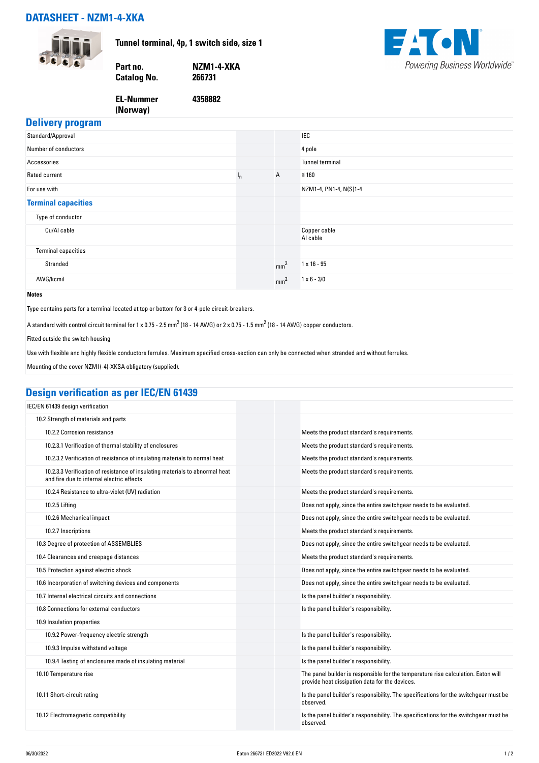## **DATASHEET - NZM1-4-XKA**



**Tunnel terminal, 4p, 1 switch side, size 1**

**4358882**





## **Delivery program**

| <b>Delively program</b>    |         |                 |                          |
|----------------------------|---------|-----------------|--------------------------|
| Standard/Approval          |         |                 | <b>IEC</b>               |
| Number of conductors       |         |                 | 4 pole                   |
| Accessories                |         |                 | <b>Tunnel terminal</b>   |
| Rated current              | $I_{n}$ | $\mathsf{A}$    | $\leq 160$               |
| For use with               |         |                 | NZM1-4, PN1-4, N(S)1-4   |
| <b>Terminal capacities</b> |         |                 |                          |
| Type of conductor          |         |                 |                          |
| Cu/Al cable                |         |                 | Copper cable<br>Al cable |
| <b>Terminal capacities</b> |         |                 |                          |
| Stranded                   |         | mm <sup>2</sup> | $1 \times 16 - 95$       |
| AWG/kcmil                  |         | mm <sup>2</sup> | $1 \times 6 - 3/0$       |
| <b>Notes</b>               |         |                 |                          |

Type contains parts for a terminal located at top or bottom for 3 or 4-pole circuit-breakers.

**Catalog No.** 

**EL-Nummer (Norway)** 

A standard with control circuit terminal for 1 x 0.75 - 2.5  $mm^2$  (18 - 14 AWG) or 2 x 0.75 - 1.5  $mm^2$  (18 - 14 AWG) copper conductors.

Fitted outside the switch housing

Use with flexible and highly flexible conductors ferrules. Maximum specified cross-section can only be connected when stranded and without ferrules.

Mounting of the cover NZM1(-4)-XKSA obligatory (supplied).

# **Design verification as per IEC/EN 61439**

| IEC/EN 61439 design verification                                                                                          |                                                                                                                                     |
|---------------------------------------------------------------------------------------------------------------------------|-------------------------------------------------------------------------------------------------------------------------------------|
| 10.2 Strength of materials and parts                                                                                      |                                                                                                                                     |
| 10.2.2 Corrosion resistance                                                                                               | Meets the product standard's requirements.                                                                                          |
| 10.2.3.1 Verification of thermal stability of enclosures                                                                  | Meets the product standard's requirements.                                                                                          |
| 10.2.3.2 Verification of resistance of insulating materials to normal heat                                                | Meets the product standard's requirements.                                                                                          |
| 10.2.3.3 Verification of resistance of insulating materials to abnormal heat<br>and fire due to internal electric effects | Meets the product standard's requirements.                                                                                          |
| 10.2.4 Resistance to ultra-violet (UV) radiation                                                                          | Meets the product standard's requirements.                                                                                          |
| 10.2.5 Lifting                                                                                                            | Does not apply, since the entire switchgear needs to be evaluated.                                                                  |
| 10.2.6 Mechanical impact                                                                                                  | Does not apply, since the entire switchgear needs to be evaluated.                                                                  |
| 10.2.7 Inscriptions                                                                                                       | Meets the product standard's requirements.                                                                                          |
| 10.3 Degree of protection of ASSEMBLIES                                                                                   | Does not apply, since the entire switchgear needs to be evaluated.                                                                  |
| 10.4 Clearances and creepage distances                                                                                    | Meets the product standard's requirements.                                                                                          |
| 10.5 Protection against electric shock                                                                                    | Does not apply, since the entire switchgear needs to be evaluated.                                                                  |
| 10.6 Incorporation of switching devices and components                                                                    | Does not apply, since the entire switchgear needs to be evaluated.                                                                  |
| 10.7 Internal electrical circuits and connections                                                                         | Is the panel builder's responsibility.                                                                                              |
| 10.8 Connections for external conductors                                                                                  | Is the panel builder's responsibility.                                                                                              |
| 10.9 Insulation properties                                                                                                |                                                                                                                                     |
| 10.9.2 Power-frequency electric strength                                                                                  | Is the panel builder's responsibility.                                                                                              |
| 10.9.3 Impulse withstand voltage                                                                                          | Is the panel builder's responsibility.                                                                                              |
| 10.9.4 Testing of enclosures made of insulating material                                                                  | Is the panel builder's responsibility.                                                                                              |
| 10.10 Temperature rise                                                                                                    | The panel builder is responsible for the temperature rise calculation. Eaton will<br>provide heat dissipation data for the devices. |
| 10.11 Short-circuit rating                                                                                                | Is the panel builder's responsibility. The specifications for the switchgear must be<br>observed.                                   |
| 10.12 Electromagnetic compatibility                                                                                       | Is the panel builder's responsibility. The specifications for the switchgear must be<br>observed.                                   |